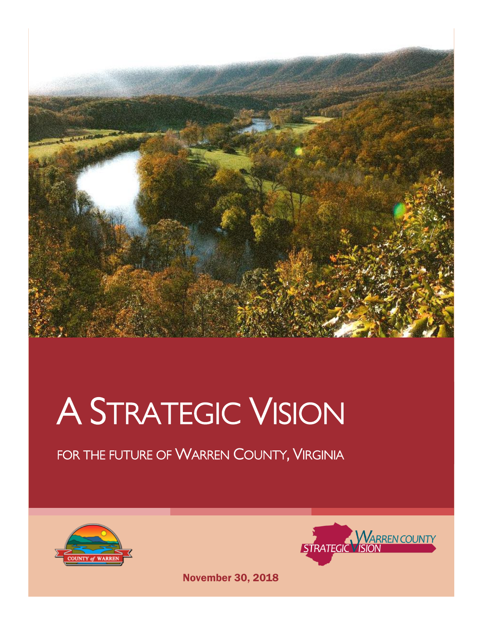

### A STRATEGIC VISION

#### FOR THE FUTURE OF WARREN COUNTY, VIRGINIA





November 30, 2018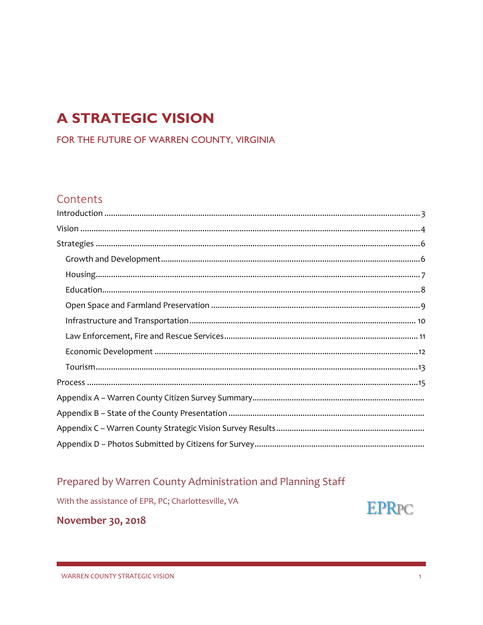#### **A STRATEGIC VISION**

FOR THE FUTURE OF WARREN COUNTY, VIRGINIA

#### Contents

#### Prepared by Warren County Administration and Planning Staff

With the assistance of EPR, PC; Charlottesville, VA



November 30, 2018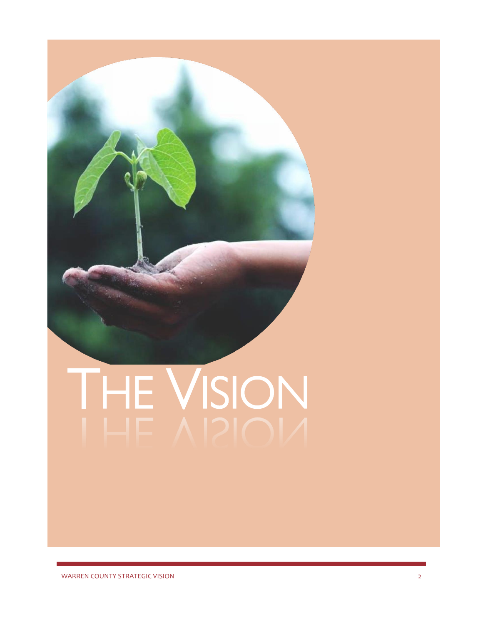# THE VISION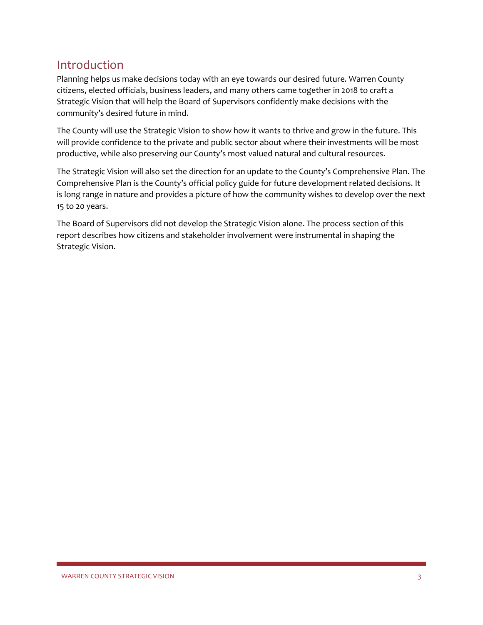#### <span id="page-3-0"></span>Introduction

Planning helps us make decisions today with an eye towards our desired future. Warren County citizens, elected officials, business leaders, and many others came together in 2018 to craft a Strategic Vision that will help the Board of Supervisors confidently make decisions with the community's desired future in mind.

The County will use the Strategic Vision to show how it wants to thrive and grow in the future. This will provide confidence to the private and public sector about where their investments will be most productive, while also preserving our County's most valued natural and cultural resources.

The Strategic Vision will also set the direction for an update to the County's Comprehensive Plan. The Comprehensive Plan is the County's official policy guide for future development related decisions. It is long range in nature and provides a picture of how the community wishes to develop over the next 15 to 20 years.

The Board of Supervisors did not develop the Strategic Vision alone. The process section of this report describes how citizens and stakeholder involvement were instrumental in shaping the Strategic Vision.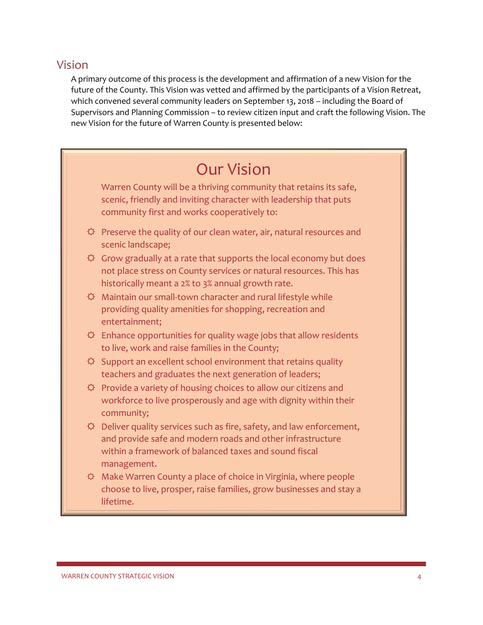#### <span id="page-4-0"></span>Vision

A primary outcome of this process is the development and affirmation of a new Vision for the future of the County. This Vision was vetted and affirmed by the participants of a Vision Retreat, which convened several community leaders on September 13, 2018 – including the Board of Supervisors and Planning Commission – to review citizen input and craft the following Vision. The new Vision for the future of Warren County is presented below:

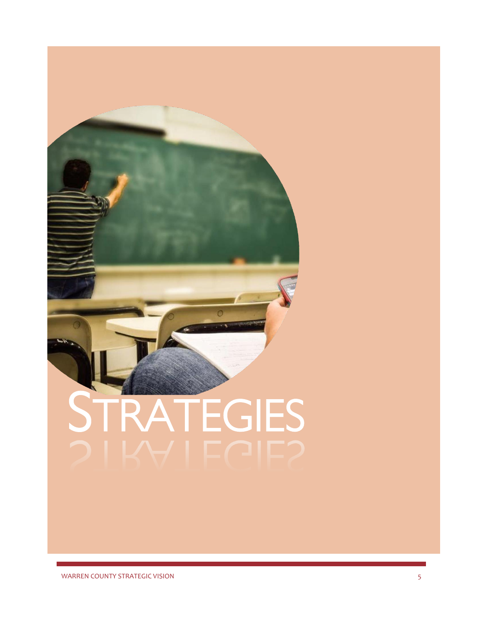## STRATEGIES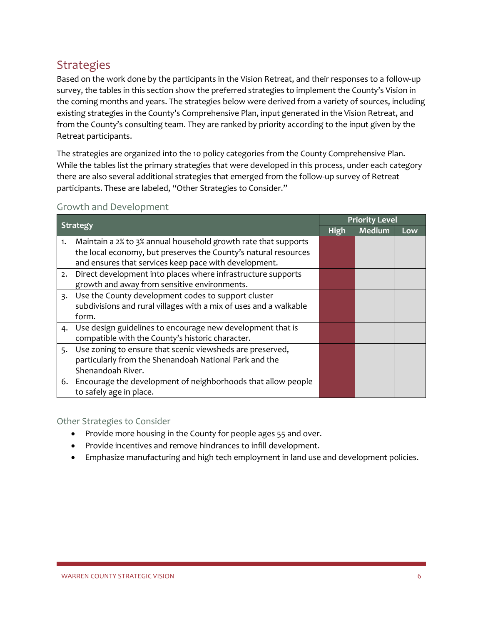#### <span id="page-6-0"></span>**Strategies**

Based on the work done by the participants in the Vision Retreat, and their responses to a follow-up survey, the tables in this section show the preferred strategies to implement the County's Vision in the coming months and years. The strategies below were derived from a variety of sources, including existing strategies in the County's Comprehensive Plan, input generated in the Vision Retreat, and from the County's consulting team. They are ranked by priority according to the input given by the Retreat participants.

The strategies are organized into the 10 policy categories from the County Comprehensive Plan. While the tables list the primary strategies that were developed in this process, under each category there are also several additional strategies that emerged from the follow-up survey of Retreat participants. These are labeled, "Other Strategies to Consider."

#### <span id="page-6-1"></span>Growth and Development

| <b>Strategy</b>  |                                                                   | <b>Priority Level</b> |               |     |
|------------------|-------------------------------------------------------------------|-----------------------|---------------|-----|
|                  |                                                                   | <b>High</b>           | <b>Medium</b> | Low |
| 1.               | Maintain a 2% to 3% annual household growth rate that supports    |                       |               |     |
|                  | the local economy, but preserves the County's natural resources   |                       |               |     |
|                  | and ensures that services keep pace with development.             |                       |               |     |
| 2.               | Direct development into places where infrastructure supports      |                       |               |     |
|                  | growth and away from sensitive environments.                      |                       |               |     |
| $\overline{3}$ . | Use the County development codes to support cluster               |                       |               |     |
|                  | subdivisions and rural villages with a mix of uses and a walkable |                       |               |     |
|                  | form.                                                             |                       |               |     |
|                  | 4. Use design guidelines to encourage new development that is     |                       |               |     |
|                  | compatible with the County's historic character.                  |                       |               |     |
|                  | 5. Use zoning to ensure that scenic viewsheds are preserved,      |                       |               |     |
|                  | particularly from the Shenandoah National Park and the            |                       |               |     |
|                  | Shenandoah River.                                                 |                       |               |     |
|                  | 6. Encourage the development of neighborhoods that allow people   |                       |               |     |
|                  | to safely age in place.                                           |                       |               |     |

- Provide more housing in the County for people ages 55 and over.
- Provide incentives and remove hindrances to infill development.
- Emphasize manufacturing and high tech employment in land use and development policies.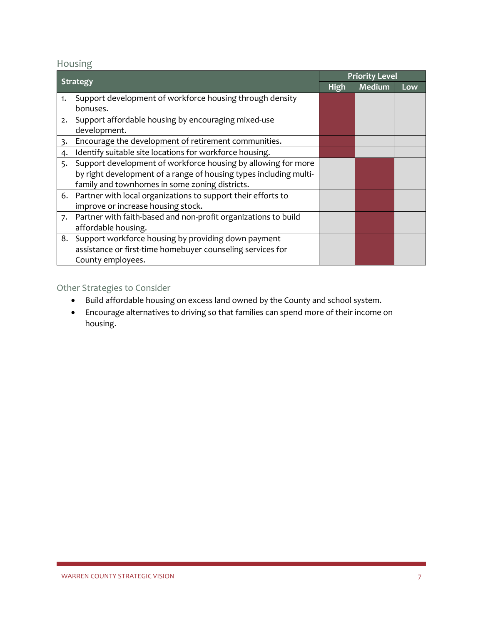#### <span id="page-7-0"></span>Housing

| <b>Strategy</b> |                                                                   | <b>Priority Level</b> |               |     |
|-----------------|-------------------------------------------------------------------|-----------------------|---------------|-----|
|                 |                                                                   | <b>High</b>           | <b>Medium</b> | Low |
| 1.              | Support development of workforce housing through density          |                       |               |     |
|                 | bonuses.                                                          |                       |               |     |
| 2.              | Support affordable housing by encouraging mixed-use               |                       |               |     |
|                 | development.                                                      |                       |               |     |
| $\overline{3}$  | Encourage the development of retirement communities.              |                       |               |     |
| 4.              | Identify suitable site locations for workforce housing.           |                       |               |     |
| 5.              | Support development of workforce housing by allowing for more     |                       |               |     |
|                 | by right development of a range of housing types including multi- |                       |               |     |
|                 | family and townhomes in some zoning districts.                    |                       |               |     |
|                 | 6. Partner with local organizations to support their efforts to   |                       |               |     |
|                 | improve or increase housing stock.                                |                       |               |     |
| 7.              | Partner with faith-based and non-profit organizations to build    |                       |               |     |
|                 | affordable housing.                                               |                       |               |     |
| 8.              | Support workforce housing by providing down payment               |                       |               |     |
|                 | assistance or first-time homebuyer counseling services for        |                       |               |     |
|                 | County employees.                                                 |                       |               |     |

- Build affordable housing on excess land owned by the County and school system.
- Encourage alternatives to driving so that families can spend more of their income on housing.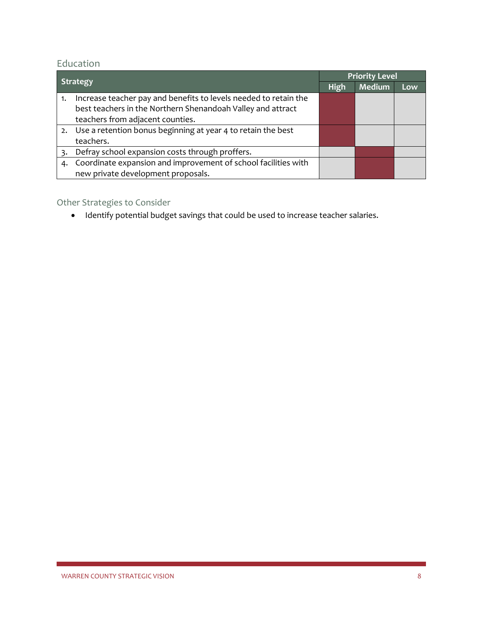#### <span id="page-8-0"></span>Education

|    |                                                                  | <b>Priority Level</b> |               |     |
|----|------------------------------------------------------------------|-----------------------|---------------|-----|
|    | Strategy                                                         |                       | <b>Medium</b> | Low |
| 1. | Increase teacher pay and benefits to levels needed to retain the |                       |               |     |
|    | best teachers in the Northern Shenandoah Valley and attract      |                       |               |     |
|    | teachers from adjacent counties.                                 |                       |               |     |
|    | 2. Use a retention bonus beginning at year 4 to retain the best  |                       |               |     |
|    | teachers.                                                        |                       |               |     |
|    | Defray school expansion costs through proffers.                  |                       |               |     |
| 4. | Coordinate expansion and improvement of school facilities with   |                       |               |     |
|    | new private development proposals.                               |                       |               |     |

#### Other Strategies to Consider

• Identify potential budget savings that could be used to increase teacher salaries.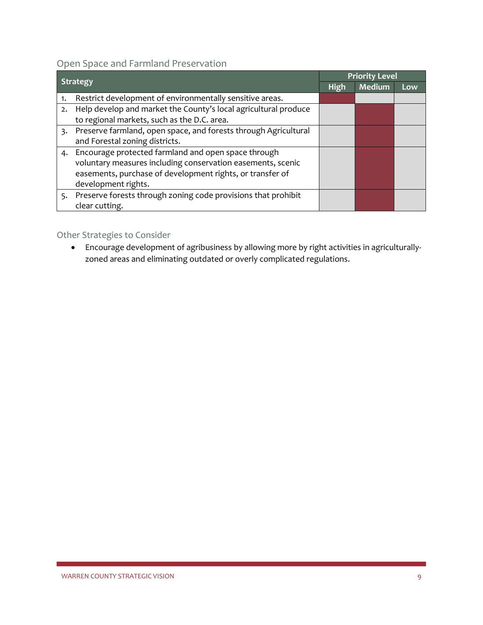<span id="page-9-0"></span>Open Space and Farmland Preservation

|    |                                                                 | <b>Priority Level</b> |               |     |
|----|-----------------------------------------------------------------|-----------------------|---------------|-----|
|    | <b>Strategy</b>                                                 |                       | <b>Medium</b> | Low |
| 1. | Restrict development of environmentally sensitive areas.        |                       |               |     |
| 2. | Help develop and market the County's local agricultural produce |                       |               |     |
|    | to regional markets, such as the D.C. area.                     |                       |               |     |
| 3. | Preserve farmland, open space, and forests through Agricultural |                       |               |     |
|    | and Forestal zoning districts.                                  |                       |               |     |
|    | 4. Encourage protected farmland and open space through          |                       |               |     |
|    | voluntary measures including conservation easements, scenic     |                       |               |     |
|    | easements, purchase of development rights, or transfer of       |                       |               |     |
|    | development rights.                                             |                       |               |     |
| 5. | Preserve forests through zoning code provisions that prohibit   |                       |               |     |
|    | clear cutting.                                                  |                       |               |     |

#### Other Strategies to Consider

• Encourage development of agribusiness by allowing more by right activities in agriculturallyzoned areas and eliminating outdated or overly complicated regulations.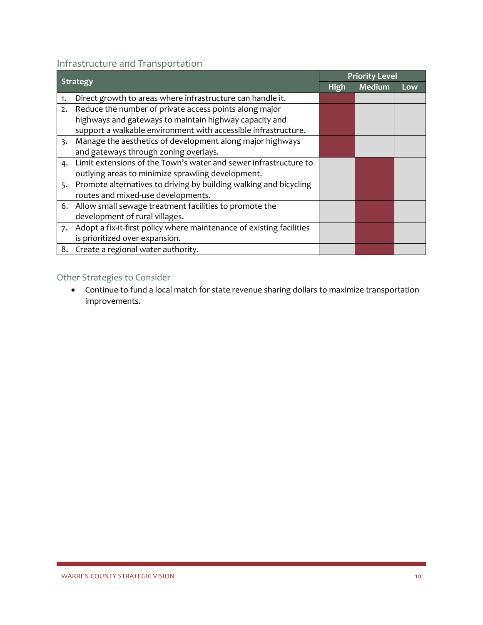#### <span id="page-10-0"></span>Infrastructure and Transportation

| <b>Strategy</b> |                                                                      | <b>Priority Level</b> |               |     |
|-----------------|----------------------------------------------------------------------|-----------------------|---------------|-----|
|                 |                                                                      | <b>High</b>           | <b>Medium</b> | Low |
| 1.              | Direct growth to areas where infrastructure can handle it.           |                       |               |     |
| 2.              | Reduce the number of private access points along major               |                       |               |     |
|                 | highways and gateways to maintain highway capacity and               |                       |               |     |
|                 | support a walkable environment with accessible infrastructure.       |                       |               |     |
| 3.              | Manage the aesthetics of development along major highways            |                       |               |     |
|                 | and gateways through zoning overlays.                                |                       |               |     |
| 4.              | Limit extensions of the Town's water and sewer infrastructure to     |                       |               |     |
|                 | outlying areas to minimize sprawling development.                    |                       |               |     |
| 5.              | Promote alternatives to driving by building walking and bicycling    |                       |               |     |
|                 | routes and mixed-use developments.                                   |                       |               |     |
|                 | 6. Allow small sewage treatment facilities to promote the            |                       |               |     |
|                 | development of rural villages.                                       |                       |               |     |
| 7.              | Adopt a fix-it-first policy where maintenance of existing facilities |                       |               |     |
|                 | is prioritized over expansion.                                       |                       |               |     |
|                 | 8. Create a regional water authority.                                |                       |               |     |

#### Other Strategies to Consider

• Continue to fund a local match for state revenue sharing dollars to maximize transportation improvements.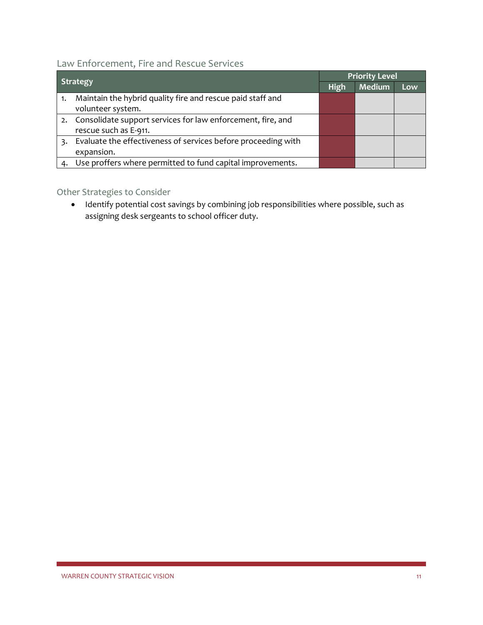#### <span id="page-11-0"></span>Law Enforcement, Fire and Rescue Services

|    |                                                                | <b>Priority Level</b> |               |     |
|----|----------------------------------------------------------------|-----------------------|---------------|-----|
|    | <b>Strategy</b>                                                |                       | <b>Medium</b> | Low |
|    | Maintain the hybrid quality fire and rescue paid staff and     |                       |               |     |
|    | volunteer system.                                              |                       |               |     |
|    | 2. Consolidate support services for law enforcement, fire, and |                       |               |     |
|    | rescue such as E-911.                                          |                       |               |     |
|    | Evaluate the effectiveness of services before proceeding with  |                       |               |     |
|    | expansion.                                                     |                       |               |     |
| 4. | Use proffers where permitted to fund capital improvements.     |                       |               |     |

#### Other Strategies to Consider

• Identify potential cost savings by combining job responsibilities where possible, such as assigning desk sergeants to school officer duty.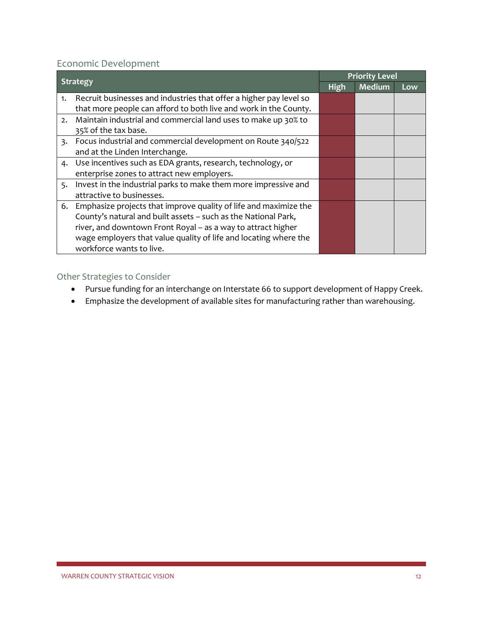#### <span id="page-12-0"></span>Economic Development

| <b>Strategy</b> |                                                                    | <b>Priority Level</b> |               |     |
|-----------------|--------------------------------------------------------------------|-----------------------|---------------|-----|
|                 |                                                                    | <b>High</b>           | <b>Medium</b> | Low |
| 1.              | Recruit businesses and industries that offer a higher pay level so |                       |               |     |
|                 | that more people can afford to both live and work in the County.   |                       |               |     |
| 2.              | Maintain industrial and commercial land uses to make up 30% to     |                       |               |     |
|                 | 35% of the tax base.                                               |                       |               |     |
|                 | 3. Focus industrial and commercial development on Route 340/522    |                       |               |     |
|                 | and at the Linden Interchange.                                     |                       |               |     |
|                 | 4. Use incentives such as EDA grants, research, technology, or     |                       |               |     |
|                 | enterprise zones to attract new employers.                         |                       |               |     |
| 5.              | Invest in the industrial parks to make them more impressive and    |                       |               |     |
|                 | attractive to businesses.                                          |                       |               |     |
| 6.              | Emphasize projects that improve quality of life and maximize the   |                       |               |     |
|                 | County's natural and built assets - such as the National Park,     |                       |               |     |
|                 | river, and downtown Front Royal - as a way to attract higher       |                       |               |     |
|                 | wage employers that value quality of life and locating where the   |                       |               |     |
|                 | workforce wants to live.                                           |                       |               |     |

- Pursue funding for an interchange on Interstate 66 to support development of Happy Creek.
- Emphasize the development of available sites for manufacturing rather than warehousing.